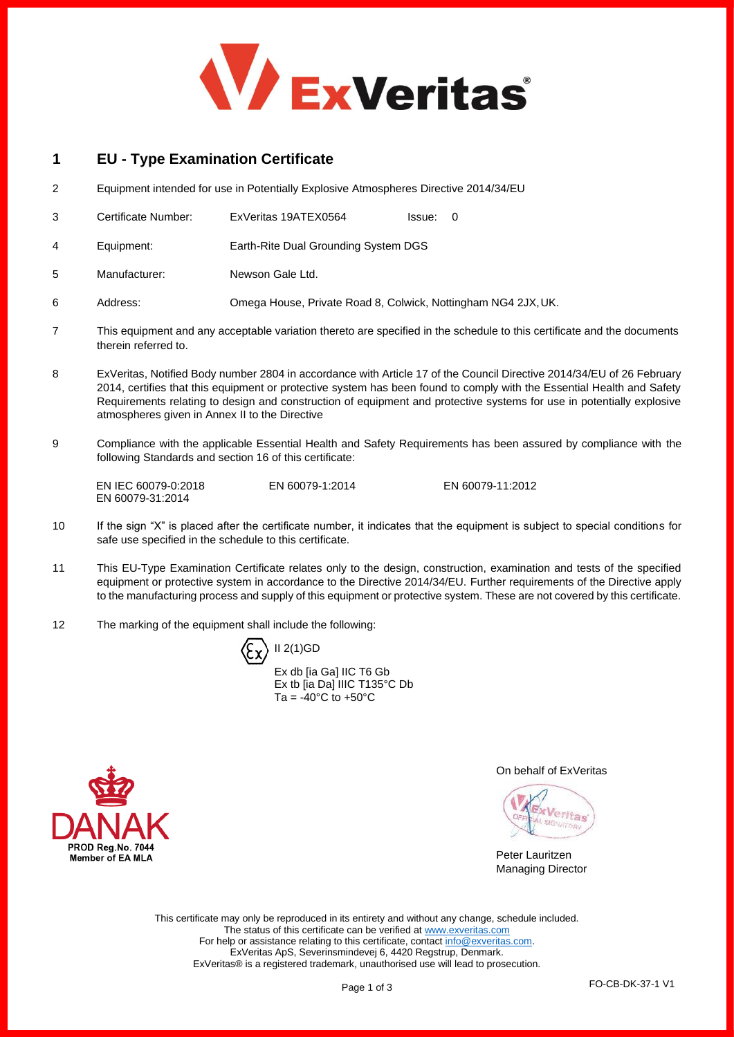

# **1 EU - Type Examination Certificate**

- 2 Equipment intended for use in Potentially Explosive Atmospheres Directive 2014/34/EU
- 3 Certificate Number: ExVeritas 19ATEX0564 Issue: 0
- 4 Equipment: Earth-Rite Dual Grounding System DGS
- 5 Manufacturer: Newson Gale Ltd.
- 6 Address: Omega House, Private Road 8, Colwick, Nottingham NG4 2JX,UK.
- 7 This equipment and any acceptable variation thereto are specified in the schedule to this certificate and the documents therein referred to.
- 8 ExVeritas, Notified Body number 2804 in accordance with Article 17 of the Council Directive 2014/34/EU of 26 February 2014, certifies that this equipment or protective system has been found to comply with the Essential Health and Safety Requirements relating to design and construction of equipment and protective systems for use in potentially explosive atmospheres given in Annex II to the Directive
- 9 Compliance with the applicable Essential Health and Safety Requirements has been assured by compliance with the following Standards and section 16 of this certificate:

EN IEC 60079-0:2018 EN 60079-31:2014

EN 60079-1:2014 EN 60079-11:2012

- 10 If the sign "X" is placed after the certificate number, it indicates that the equipment is subject to special conditions for safe use specified in the schedule to this certificate.
- 11 This EU-Type Examination Certificate relates only to the design, construction, examination and tests of the specified equipment or protective system in accordance to the Directive 2014/34/EU. Further requirements of the Directive apply to the manufacturing process and supply of this equipment or protective system. These are not covered by this certificate.
- 12 The marking of the equipment shall include the following:

 $\langle \xi_{\mathsf{X}} \rangle$  II 2(1)GD

Ex db [ia Ga] IIC T6 Gb Ex tb [ia Da] IIIC T135°C Db Ta =  $-40^{\circ}$ C to  $+50^{\circ}$ C



On behalf of ExVeritas

Veritas

Peter Lauritzen Managing Director

This certificate may only be reproduced in its entirety and without any change, schedule included. The status of this certificate can be verified a[t www.exveritas.com](http://www.exveritas.com/) For help or assistance relating to this certificate, contac[t info@exveritas.com.](mailto:info@exveritas.com) ExVeritas ApS, Severinsmindevej 6, 4420 Regstrup, Denmark. ExVeritas® is a registered trademark, unauthorised use will lead to prosecution.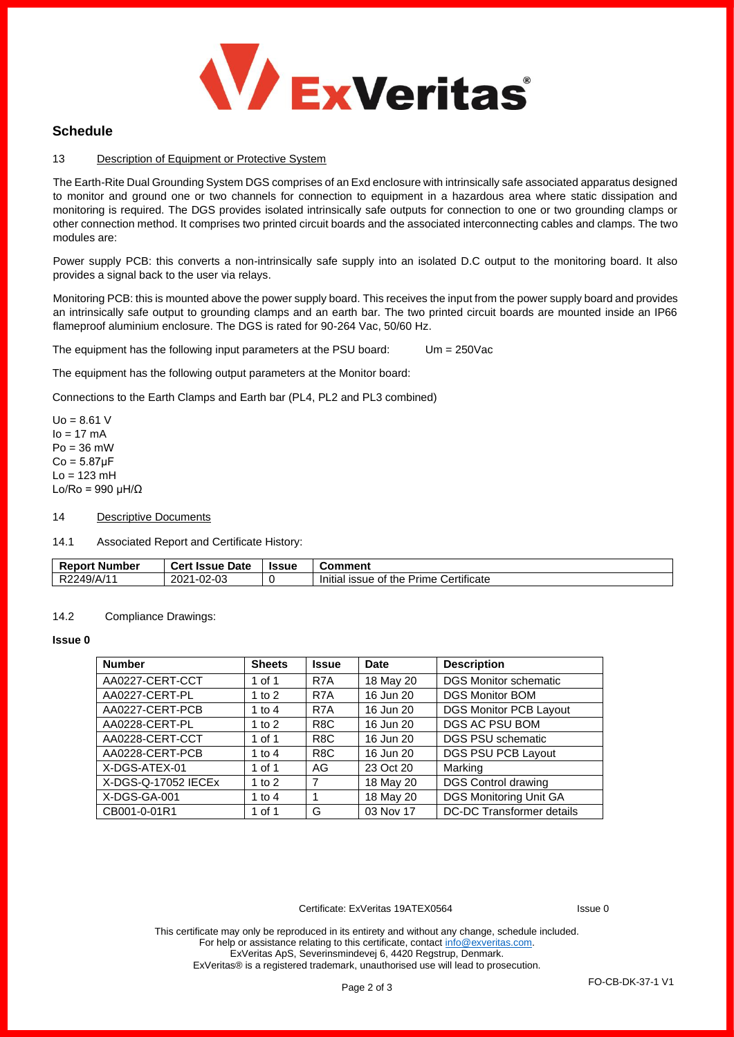

### **Schedule**

#### 13 Description of Equipment or Protective System

The Earth-Rite Dual Grounding System DGS comprises of an Exd enclosure with intrinsically safe associated apparatus designed to monitor and ground one or two channels for connection to equipment in a hazardous area where static dissipation and monitoring is required. The DGS provides isolated intrinsically safe outputs for connection to one or two grounding clamps or other connection method. It comprises two printed circuit boards and the associated interconnecting cables and clamps. The two modules are:

Power supply PCB: this converts a non-intrinsically safe supply into an isolated D.C output to the monitoring board. It also provides a signal back to the user via relays.

Monitoring PCB: this is mounted above the power supply board. This receives the input from the power supply board and provides an intrinsically safe output to grounding clamps and an earth bar. The two printed circuit boards are mounted inside an IP66 flameproof aluminium enclosure. The DGS is rated for 90-264 Vac, 50/60 Hz.

The equipment has the following input parameters at the PSU board: Um = 250Vac

The equipment has the following output parameters at the Monitor board:

Connections to the Earth Clamps and Earth bar (PL4, PL2 and PL3 combined)

 $Uo = 8.61$  V  $Io = 17$  mA  $Po = 36$  mW  $Co = 5.87$ μ $F$  $Lo = 123$  mH Lo/Ro = 990  $\mu$ H/ $\Omega$ 

14 Descriptive Documents

14.1 Associated Report and Certificate History:

| Report<br>. Number | : Issue Date<br>Cert  | <b>Issue</b> | Comment                                                          |
|--------------------|-----------------------|--------------|------------------------------------------------------------------|
| R2249/A/1          | $1 - 02 - 03$<br>2021 |              | Certificate<br>.<br>of the l<br>Prime<br>Initial<br><b>ISSUE</b> |

#### 14.2 Compliance Drawings:

#### **Issue 0**

| <b>Number</b>       | <b>Sheets</b> | <b>Issue</b>     | <b>Date</b> | <b>Description</b>               |
|---------------------|---------------|------------------|-------------|----------------------------------|
| AA0227-CERT-CCT     | 1 of 1        | R7A              | 18 May 20   | <b>DGS Monitor schematic</b>     |
| AA0227-CERT-PL      | 1 to $2$      | R <sub>7</sub> A | 16 Jun 20   | DGS Monitor BOM                  |
| AA0227-CERT-PCB     | 1 to $4$      | R7A              | 16 Jun 20   | <b>DGS Monitor PCB Layout</b>    |
| AA0228-CERT-PL      | 1 to $2$      | R <sub>8</sub> C | 16 Jun 20   | DGS AC PSU BOM                   |
| AA0228-CERT-CCT     | 1 of 1        | R <sub>8</sub> C | 16 Jun 20   | <b>DGS PSU schematic</b>         |
| AA0228-CERT-PCB     | 1 to $4$      | R <sub>8</sub> C | 16 Jun 20   | DGS PSU PCB Layout               |
| X-DGS-ATEX-01       | 1 of 1        | AG.              | 23 Oct 20   | Marking                          |
| X-DGS-Q-17052 IECEx | 1 to $2$      | 7                | 18 May 20   | <b>DGS Control drawing</b>       |
| X-DGS-GA-001        | 1 to $4$      | 1                | 18 May 20   | DGS Monitoring Unit GA           |
| CB001-0-01R1        | 1 of 1        | G                | 03 Nov 17   | <b>DC-DC Transformer details</b> |

Certificate: ExVeritas 19ATEX0564 Issue 0

This certificate may only be reproduced in its entirety and without any change, schedule included. For help or assistance relating to this certificate, contact [info@exveritas.com.](mailto:info@exveritas.com) ExVeritas ApS, Severinsmindevej 6, 4420 Regstrup, Denmark. ExVeritas® is a registered trademark, unauthorised use will lead to prosecution.